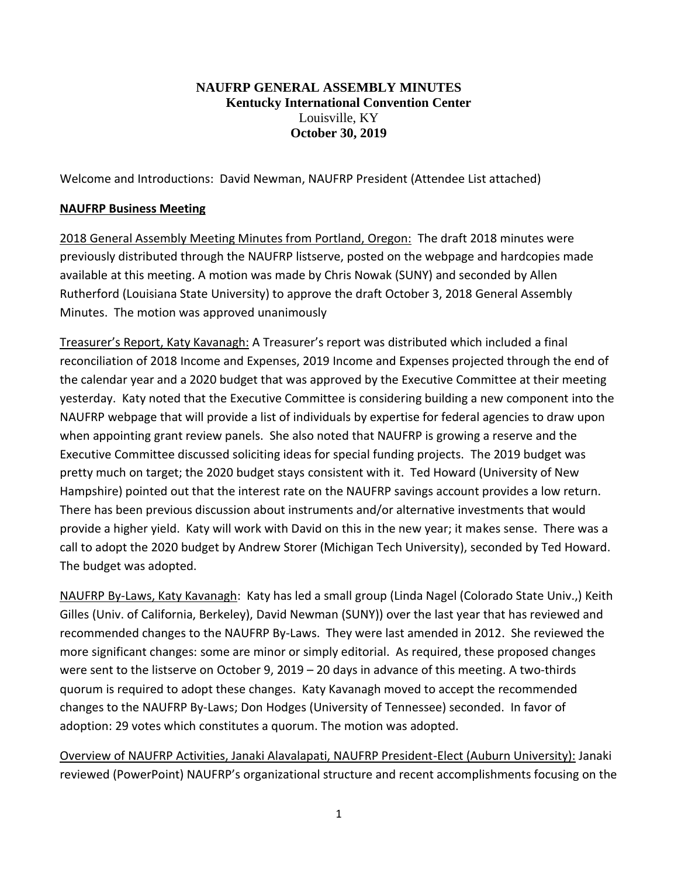## **NAUFRP GENERAL ASSEMBLY MINUTES Kentucky International Convention Center** Louisville, KY **October 30, 2019**

Welcome and Introductions: David Newman, NAUFRP President (Attendee List attached)

## **NAUFRP Business Meeting**

2018 General Assembly Meeting Minutes from Portland, Oregon: The draft 2018 minutes were previously distributed through the NAUFRP listserve, posted on the webpage and hardcopies made available at this meeting. A motion was made by Chris Nowak (SUNY) and seconded by Allen Rutherford (Louisiana State University) to approve the draft October 3, 2018 General Assembly Minutes. The motion was approved unanimously

Treasurer's Report, Katy Kavanagh: A Treasurer's report was distributed which included a final reconciliation of 2018 Income and Expenses, 2019 Income and Expenses projected through the end of the calendar year and a 2020 budget that was approved by the Executive Committee at their meeting yesterday. Katy noted that the Executive Committee is considering building a new component into the NAUFRP webpage that will provide a list of individuals by expertise for federal agencies to draw upon when appointing grant review panels. She also noted that NAUFRP is growing a reserve and the Executive Committee discussed soliciting ideas for special funding projects. The 2019 budget was pretty much on target; the 2020 budget stays consistent with it. Ted Howard (University of New Hampshire) pointed out that the interest rate on the NAUFRP savings account provides a low return. There has been previous discussion about instruments and/or alternative investments that would provide a higher yield. Katy will work with David on this in the new year; it makes sense. There was a call to adopt the 2020 budget by Andrew Storer (Michigan Tech University), seconded by Ted Howard. The budget was adopted.

NAUFRP By-Laws, Katy Kavanagh: Katy has led a small group (Linda Nagel (Colorado State Univ.,) Keith Gilles (Univ. of California, Berkeley), David Newman (SUNY)) over the last year that has reviewed and recommended changes to the NAUFRP By-Laws. They were last amended in 2012. She reviewed the more significant changes: some are minor or simply editorial. As required, these proposed changes were sent to the listserve on October 9, 2019 – 20 days in advance of this meeting. A two-thirds quorum is required to adopt these changes. Katy Kavanagh moved to accept the recommended changes to the NAUFRP By-Laws; Don Hodges (University of Tennessee) seconded. In favor of adoption: 29 votes which constitutes a quorum. The motion was adopted.

Overview of NAUFRP Activities, Janaki Alavalapati, NAUFRP President-Elect (Auburn University): Janaki reviewed (PowerPoint) NAUFRP's organizational structure and recent accomplishments focusing on the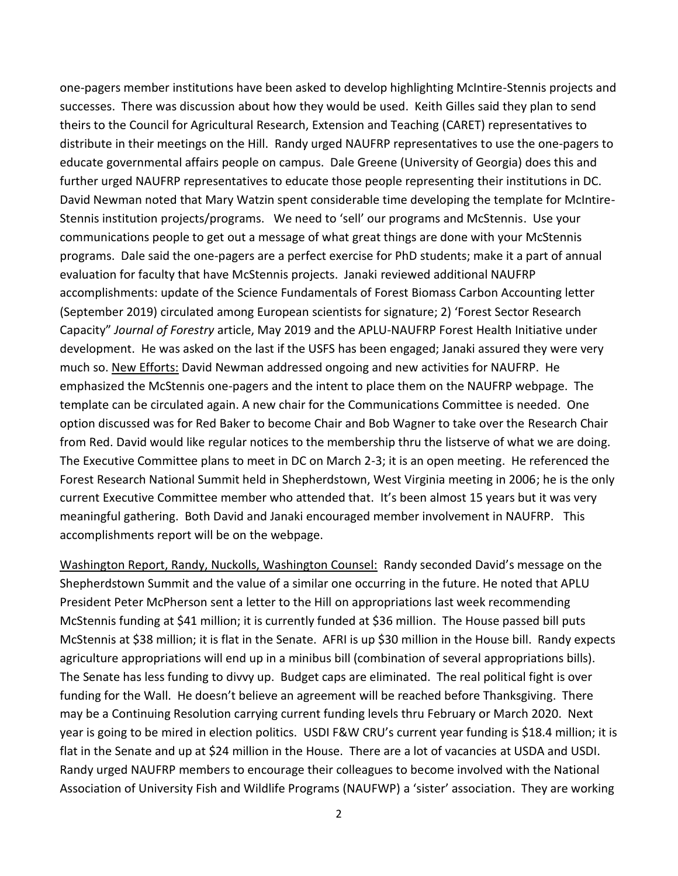one-pagers member institutions have been asked to develop highlighting McIntire-Stennis projects and successes. There was discussion about how they would be used. Keith Gilles said they plan to send theirs to the Council for Agricultural Research, Extension and Teaching (CARET) representatives to distribute in their meetings on the Hill. Randy urged NAUFRP representatives to use the one-pagers to educate governmental affairs people on campus. Dale Greene (University of Georgia) does this and further urged NAUFRP representatives to educate those people representing their institutions in DC. David Newman noted that Mary Watzin spent considerable time developing the template for McIntire-Stennis institution projects/programs. We need to 'sell' our programs and McStennis. Use your communications people to get out a message of what great things are done with your McStennis programs. Dale said the one-pagers are a perfect exercise for PhD students; make it a part of annual evaluation for faculty that have McStennis projects. Janaki reviewed additional NAUFRP accomplishments: update of the Science Fundamentals of Forest Biomass Carbon Accounting letter (September 2019) circulated among European scientists for signature; 2) 'Forest Sector Research Capacity" *Journal of Forestry* article, May 2019 and the APLU-NAUFRP Forest Health Initiative under development. He was asked on the last if the USFS has been engaged; Janaki assured they were very much so. New Efforts: David Newman addressed ongoing and new activities for NAUFRP. He emphasized the McStennis one-pagers and the intent to place them on the NAUFRP webpage. The template can be circulated again. A new chair for the Communications Committee is needed. One option discussed was for Red Baker to become Chair and Bob Wagner to take over the Research Chair from Red. David would like regular notices to the membership thru the listserve of what we are doing. The Executive Committee plans to meet in DC on March 2-3; it is an open meeting. He referenced the Forest Research National Summit held in Shepherdstown, West Virginia meeting in 2006; he is the only current Executive Committee member who attended that. It's been almost 15 years but it was very meaningful gathering. Both David and Janaki encouraged member involvement in NAUFRP. This accomplishments report will be on the webpage.

Washington Report, Randy, Nuckolls, Washington Counsel: Randy seconded David's message on the Shepherdstown Summit and the value of a similar one occurring in the future. He noted that APLU President Peter McPherson sent a letter to the Hill on appropriations last week recommending McStennis funding at \$41 million; it is currently funded at \$36 million. The House passed bill puts McStennis at \$38 million; it is flat in the Senate. AFRI is up \$30 million in the House bill. Randy expects agriculture appropriations will end up in a minibus bill (combination of several appropriations bills). The Senate has less funding to divvy up. Budget caps are eliminated. The real political fight is over funding for the Wall. He doesn't believe an agreement will be reached before Thanksgiving. There may be a Continuing Resolution carrying current funding levels thru February or March 2020. Next year is going to be mired in election politics. USDI F&W CRU's current year funding is \$18.4 million; it is flat in the Senate and up at \$24 million in the House. There are a lot of vacancies at USDA and USDI. Randy urged NAUFRP members to encourage their colleagues to become involved with the National Association of University Fish and Wildlife Programs (NAUFWP) a 'sister' association. They are working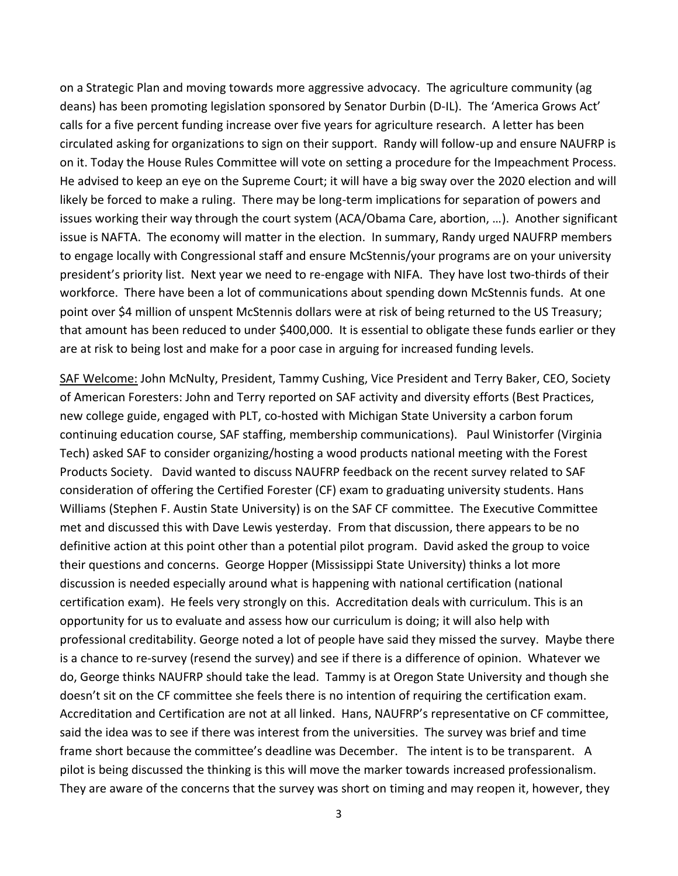on a Strategic Plan and moving towards more aggressive advocacy. The agriculture community (ag deans) has been promoting legislation sponsored by Senator Durbin (D-IL). The 'America Grows Act' calls for a five percent funding increase over five years for agriculture research. A letter has been circulated asking for organizations to sign on their support. Randy will follow-up and ensure NAUFRP is on it. Today the House Rules Committee will vote on setting a procedure for the Impeachment Process. He advised to keep an eye on the Supreme Court; it will have a big sway over the 2020 election and will likely be forced to make a ruling. There may be long-term implications for separation of powers and issues working their way through the court system (ACA/Obama Care, abortion, …). Another significant issue is NAFTA. The economy will matter in the election. In summary, Randy urged NAUFRP members to engage locally with Congressional staff and ensure McStennis/your programs are on your university president's priority list. Next year we need to re-engage with NIFA. They have lost two-thirds of their workforce. There have been a lot of communications about spending down McStennis funds. At one point over \$4 million of unspent McStennis dollars were at risk of being returned to the US Treasury; that amount has been reduced to under \$400,000. It is essential to obligate these funds earlier or they are at risk to being lost and make for a poor case in arguing for increased funding levels.

SAF Welcome: John McNulty, President, Tammy Cushing, Vice President and Terry Baker, CEO, Society of American Foresters: John and Terry reported on SAF activity and diversity efforts (Best Practices, new college guide, engaged with PLT, co-hosted with Michigan State University a carbon forum continuing education course, SAF staffing, membership communications). Paul Winistorfer (Virginia Tech) asked SAF to consider organizing/hosting a wood products national meeting with the Forest Products Society. David wanted to discuss NAUFRP feedback on the recent survey related to SAF consideration of offering the Certified Forester (CF) exam to graduating university students. Hans Williams (Stephen F. Austin State University) is on the SAF CF committee. The Executive Committee met and discussed this with Dave Lewis yesterday. From that discussion, there appears to be no definitive action at this point other than a potential pilot program. David asked the group to voice their questions and concerns. George Hopper (Mississippi State University) thinks a lot more discussion is needed especially around what is happening with national certification (national certification exam). He feels very strongly on this. Accreditation deals with curriculum. This is an opportunity for us to evaluate and assess how our curriculum is doing; it will also help with professional creditability. George noted a lot of people have said they missed the survey. Maybe there is a chance to re-survey (resend the survey) and see if there is a difference of opinion. Whatever we do, George thinks NAUFRP should take the lead. Tammy is at Oregon State University and though she doesn't sit on the CF committee she feels there is no intention of requiring the certification exam. Accreditation and Certification are not at all linked. Hans, NAUFRP's representative on CF committee, said the idea was to see if there was interest from the universities. The survey was brief and time frame short because the committee's deadline was December. The intent is to be transparent. A pilot is being discussed the thinking is this will move the marker towards increased professionalism. They are aware of the concerns that the survey was short on timing and may reopen it, however, they

3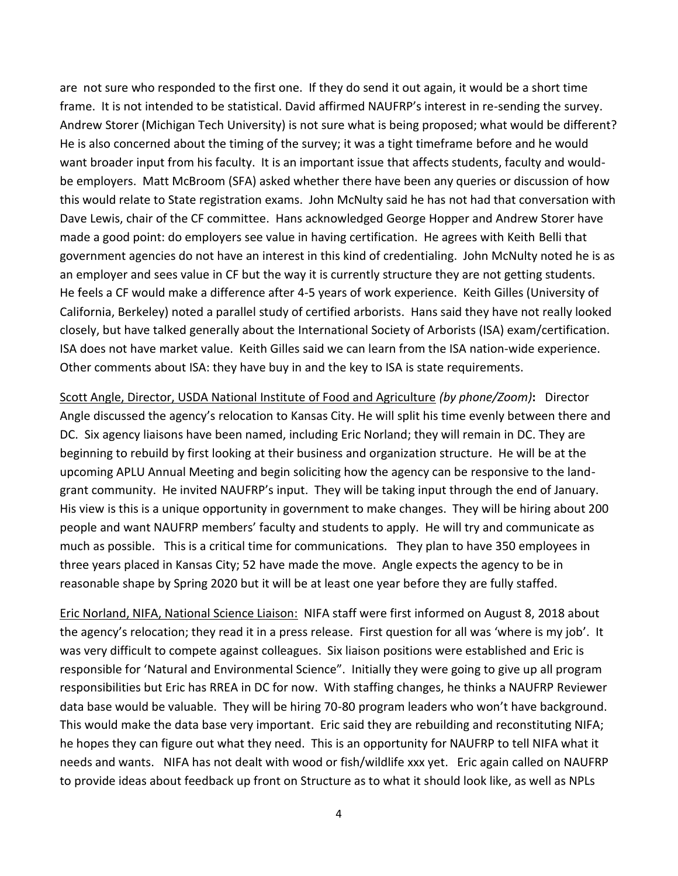are not sure who responded to the first one. If they do send it out again, it would be a short time frame. It is not intended to be statistical. David affirmed NAUFRP's interest in re-sending the survey. Andrew Storer (Michigan Tech University) is not sure what is being proposed; what would be different? He is also concerned about the timing of the survey; it was a tight timeframe before and he would want broader input from his faculty. It is an important issue that affects students, faculty and wouldbe employers. Matt McBroom (SFA) asked whether there have been any queries or discussion of how this would relate to State registration exams. John McNulty said he has not had that conversation with Dave Lewis, chair of the CF committee. Hans acknowledged George Hopper and Andrew Storer have made a good point: do employers see value in having certification. He agrees with Keith Belli that government agencies do not have an interest in this kind of credentialing. John McNulty noted he is as an employer and sees value in CF but the way it is currently structure they are not getting students. He feels a CF would make a difference after 4-5 years of work experience. Keith Gilles (University of California, Berkeley) noted a parallel study of certified arborists. Hans said they have not really looked closely, but have talked generally about the International Society of Arborists (ISA) exam/certification. ISA does not have market value. Keith Gilles said we can learn from the ISA nation-wide experience. Other comments about ISA: they have buy in and the key to ISA is state requirements.

Scott Angle, Director, USDA National Institute of Food and Agriculture *(by phone/Zoom)***:** Director Angle discussed the agency's relocation to Kansas City. He will split his time evenly between there and DC. Six agency liaisons have been named, including Eric Norland; they will remain in DC. They are beginning to rebuild by first looking at their business and organization structure. He will be at the upcoming APLU Annual Meeting and begin soliciting how the agency can be responsive to the landgrant community. He invited NAUFRP's input. They will be taking input through the end of January. His view is this is a unique opportunity in government to make changes. They will be hiring about 200 people and want NAUFRP members' faculty and students to apply. He will try and communicate as much as possible. This is a critical time for communications. They plan to have 350 employees in three years placed in Kansas City; 52 have made the move. Angle expects the agency to be in reasonable shape by Spring 2020 but it will be at least one year before they are fully staffed.

Eric Norland, NIFA, National Science Liaison: NIFA staff were first informed on August 8, 2018 about the agency's relocation; they read it in a press release. First question for all was 'where is my job'. It was very difficult to compete against colleagues. Six liaison positions were established and Eric is responsible for 'Natural and Environmental Science". Initially they were going to give up all program responsibilities but Eric has RREA in DC for now. With staffing changes, he thinks a NAUFRP Reviewer data base would be valuable. They will be hiring 70-80 program leaders who won't have background. This would make the data base very important. Eric said they are rebuilding and reconstituting NIFA; he hopes they can figure out what they need. This is an opportunity for NAUFRP to tell NIFA what it needs and wants. NIFA has not dealt with wood or fish/wildlife xxx yet. Eric again called on NAUFRP to provide ideas about feedback up front on Structure as to what it should look like, as well as NPLs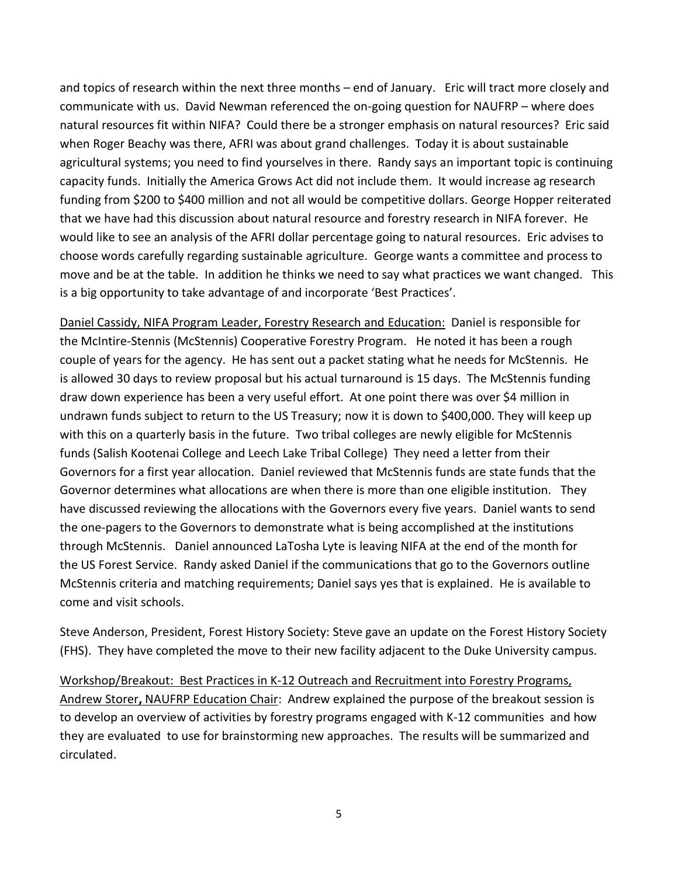and topics of research within the next three months – end of January. Eric will tract more closely and communicate with us. David Newman referenced the on-going question for NAUFRP – where does natural resources fit within NIFA? Could there be a stronger emphasis on natural resources? Eric said when Roger Beachy was there, AFRI was about grand challenges. Today it is about sustainable agricultural systems; you need to find yourselves in there. Randy says an important topic is continuing capacity funds. Initially the America Grows Act did not include them. It would increase ag research funding from \$200 to \$400 million and not all would be competitive dollars. George Hopper reiterated that we have had this discussion about natural resource and forestry research in NIFA forever. He would like to see an analysis of the AFRI dollar percentage going to natural resources. Eric advises to choose words carefully regarding sustainable agriculture. George wants a committee and process to move and be at the table. In addition he thinks we need to say what practices we want changed. This is a big opportunity to take advantage of and incorporate 'Best Practices'.

Daniel Cassidy, NIFA Program Leader, Forestry Research and Education: Daniel is responsible for the McIntire-Stennis (McStennis) Cooperative Forestry Program. He noted it has been a rough couple of years for the agency. He has sent out a packet stating what he needs for McStennis. He is allowed 30 days to review proposal but his actual turnaround is 15 days. The McStennis funding draw down experience has been a very useful effort. At one point there was over \$4 million in undrawn funds subject to return to the US Treasury; now it is down to \$400,000. They will keep up with this on a quarterly basis in the future. Two tribal colleges are newly eligible for McStennis funds (Salish Kootenai College and Leech Lake Tribal College) They need a letter from their Governors for a first year allocation. Daniel reviewed that McStennis funds are state funds that the Governor determines what allocations are when there is more than one eligible institution. They have discussed reviewing the allocations with the Governors every five years. Daniel wants to send the one-pagers to the Governors to demonstrate what is being accomplished at the institutions through McStennis. Daniel announced LaTosha Lyte is leaving NIFA at the end of the month for the US Forest Service. Randy asked Daniel if the communications that go to the Governors outline McStennis criteria and matching requirements; Daniel says yes that is explained. He is available to come and visit schools.

Steve Anderson, President, Forest History Society: Steve gave an update on the Forest History Society (FHS). They have completed the move to their new facility adjacent to the Duke University campus.

Workshop/Breakout:Best Practices in K-12 Outreach and Recruitment into Forestry Programs, Andrew Storer**,** NAUFRP Education Chair: Andrew explained the purpose of the breakout session is to develop an overview of activities by forestry programs engaged with K-12 communities and how they are evaluated to use for brainstorming new approaches. The results will be summarized and circulated.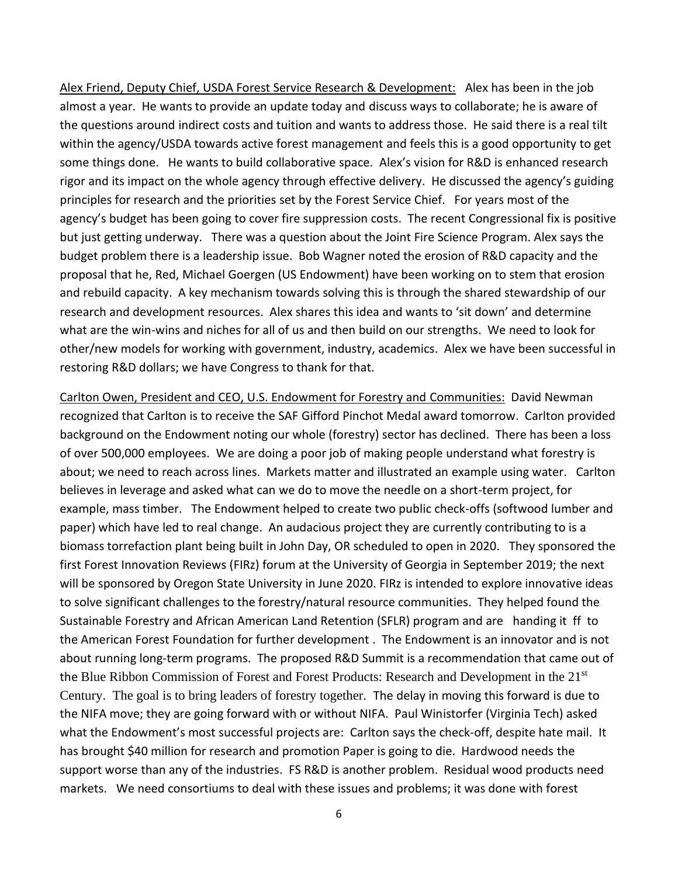Alex Friend, Deputy Chief, USDA Forest Service Research & Development: Alex has been in the job almost a year. He wants to provide an update today and discuss ways to collaborate; he is aware of the questions around indirect costs and tuition and wants to address those. He said there is a real tilt within the agency/USDA towards active forest management and feels this is a good opportunity to get some things done. He wants to build collaborative space. Alex's vision for R&D is enhanced research rigor and its impact on the whole agency through effective delivery. He discussed the agency's guiding principles for research and the priorities set by the Forest Service Chief. For years most of the agency's budget has been going to cover fire suppression costs. The recent Congressional fix is positive but just getting underway. There was a question about the Joint Fire Science Program. Alex says the budget problem there is a leadership issue. Bob Wagner noted the erosion of R&D capacity and the proposal that he, Red, Michael Goergen (US Endowment) have been working on to stem that erosion and rebuild capacity. A key mechanism towards solving this is through the shared stewardship of our research and development resources. Alex shares this idea and wants to 'sit down' and determine what are the win-wins and niches for all of us and then build on our strengths. We need to look for other/new models for working with government, industry, academics. Alex we have been successful in restoring R&D dollars; we have Congress to thank for that.

Carlton Owen, President and CEO, U.S. Endowment for Forestry and Communities: David Newman recognized that Carlton is to receive the SAF Gifford Pinchot Medal award tomorrow. Carlton provided background on the Endowment noting our whole (forestry) sector has declined. There has been a loss of over 500,000 employees. We are doing a poor job of making people understand what forestry is about; we need to reach across lines. Markets matter and illustrated an example using water. Carlton believes in leverage and asked what can we do to move the needle on a short-term project, for example, mass timber. The Endowment helped to create two public check-offs (softwood lumber and paper) which have led to real change. An audacious project they are currently contributing to is a biomass torrefaction plant being built in John Day, OR scheduled to open in 2020. They sponsored the first Forest Innovation Reviews (FIRz) forum at the University of Georgia in September 2019; the next will be sponsored by Oregon State University in June 2020. FIRz is intended to explore innovative ideas to solve significant challenges to the forestry/natural resource communities. They helped found the Sustainable Forestry and African American Land Retention (SFLR) program and are handing it ff to the American Forest Foundation for further development . The Endowment is an innovator and is not about running long-term programs. The proposed R&D Summit is a recommendation that came out of the Blue Ribbon Commission of Forest and Forest Products: Research and Development in the 21<sup>st</sup> Century. The goal is to bring leaders of forestry together. The delay in moving this forward is due to the NIFA move; they are going forward with or without NIFA. Paul Winistorfer (Virginia Tech) asked what the Endowment's most successful projects are: Carlton says the check-off, despite hate mail. It has brought \$40 million for research and promotion Paper is going to die. Hardwood needs the support worse than any of the industries. FS R&D is another problem. Residual wood products need markets. We need consortiums to deal with these issues and problems; it was done with forest